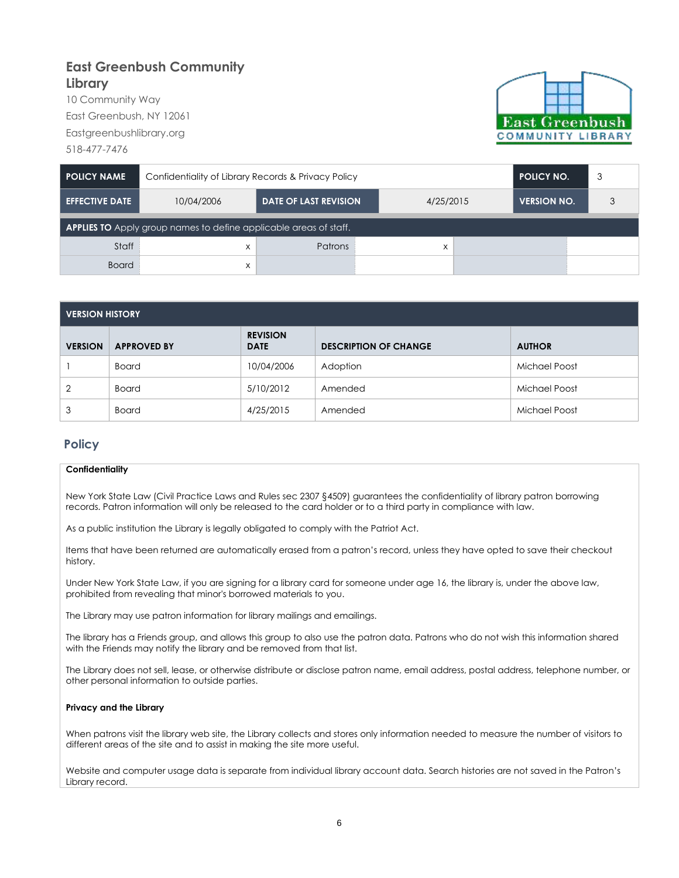## **East Greenbush Community Library**

10 Community Way East Greenbush, NY 12061 Eastgreenbushlibrary.org 518-477-7476



| <b>POLICY NAME</b>                                                       | Confidentiality of Library Records & Privacy Policy | <b>POLICY NO.</b>            | 3                 |                    |   |  |  |  |
|--------------------------------------------------------------------------|-----------------------------------------------------|------------------------------|-------------------|--------------------|---|--|--|--|
| <b>EFFECTIVE DATE</b>                                                    | 10/04/2006                                          | <b>DATE OF LAST REVISION</b> | 4/25/2015         | <b>VERSION NO.</b> | 3 |  |  |  |
| <b>APPLIES TO</b> Apply group names to define applicable areas of staff. |                                                     |                              |                   |                    |   |  |  |  |
| Staff                                                                    | X                                                   | <b>Patrons</b>               | $\checkmark$<br>л |                    |   |  |  |  |
| <b>Board</b>                                                             | X                                                   |                              |                   |                    |   |  |  |  |

| <b>VERSION HISTORY</b> |                    |                                |                              |               |  |  |  |
|------------------------|--------------------|--------------------------------|------------------------------|---------------|--|--|--|
| <b>VERSION</b>         | <b>APPROVED BY</b> | <b>REVISION</b><br><b>DATE</b> | <b>DESCRIPTION OF CHANGE</b> | <b>AUTHOR</b> |  |  |  |
|                        | <b>Board</b>       | 10/04/2006                     | Adoption                     | Michael Poost |  |  |  |
| 2                      | <b>Board</b>       | 5/10/2012                      | Amended                      | Michael Poost |  |  |  |
| 3                      | <b>Board</b>       | 4/25/2015                      | Amended                      | Michael Poost |  |  |  |

## **Policy**

## **Confidentiality**

New York State Law (Civil Practice Laws and Rules sec 2307 §4509) guarantees the confidentiality of library patron borrowing records. Patron information will only be released to the card holder or to a third party in compliance with law.

As a public institution the Library is legally obligated to comply with the Patriot Act.

Items that have been returned are automatically erased from a patron's record, unless they have opted to save their checkout history.

Under New York State Law, if you are signing for a library card for someone under age 16, the library is, under the above law, prohibited from revealing that minor's borrowed materials to you.

The Library may use patron information for library mailings and emailings.

The library has a Friends group, and allows this group to also use the patron data. Patrons who do not wish this information shared with the Friends may notify the library and be removed from that list.

The Library does not sell, lease, or otherwise distribute or disclose patron name, email address, postal address, telephone number, or other personal information to outside parties.

## **Privacy and the Library**

When patrons visit the library web site, the Library collects and stores only information needed to measure the number of visitors to different areas of the site and to assist in making the site more useful.

Website and computer usage data is separate from individual library account data. Search histories are not saved in the Patron's Library record.